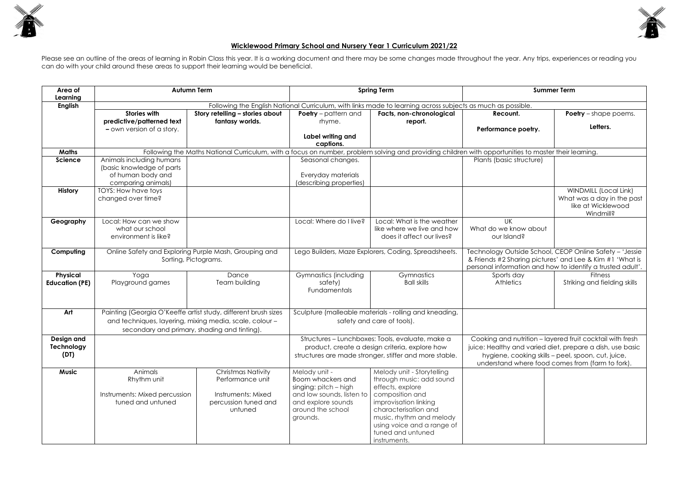

## **Wicklewood Primary School and Nursery Year 1 Curriculum 2021/22**

Please see an outline of the areas of learning in Robin Class this year. It is a working document and there may be some changes made throughout the year. Any trips, experiences or reading you can do with your child around these areas to support their learning would be beneficial.

| <b>Summer Term</b>                           |                                                            |  |  |  |  |  |  |
|----------------------------------------------|------------------------------------------------------------|--|--|--|--|--|--|
| s as much as possible.                       |                                                            |  |  |  |  |  |  |
| Recount.                                     | <b>Poetry</b> - shape poems.                               |  |  |  |  |  |  |
| Performance poetry.                          | Letters.                                                   |  |  |  |  |  |  |
|                                              |                                                            |  |  |  |  |  |  |
| with opportunities to master their learning. |                                                            |  |  |  |  |  |  |
| Plants (basic structure)                     |                                                            |  |  |  |  |  |  |
|                                              |                                                            |  |  |  |  |  |  |
|                                              |                                                            |  |  |  |  |  |  |
|                                              |                                                            |  |  |  |  |  |  |
|                                              |                                                            |  |  |  |  |  |  |
|                                              | <b>WINDMILL (Local Link)</b>                               |  |  |  |  |  |  |
|                                              | What was a day in the past                                 |  |  |  |  |  |  |
|                                              | like at Wicklewood                                         |  |  |  |  |  |  |
|                                              | Windmill?                                                  |  |  |  |  |  |  |
| UK                                           |                                                            |  |  |  |  |  |  |
| What do we know about                        |                                                            |  |  |  |  |  |  |
| our Island?                                  |                                                            |  |  |  |  |  |  |
|                                              |                                                            |  |  |  |  |  |  |
|                                              | Technology Outside School, CEOP Online Safety - 'Jessie    |  |  |  |  |  |  |
|                                              | & Friends #2 Sharing pictures' and Lee & Kim #1 'What is   |  |  |  |  |  |  |
|                                              | personal information and how to identify a trusted adult'. |  |  |  |  |  |  |
| Sports day                                   | <b>Fitness</b>                                             |  |  |  |  |  |  |
| <b>Athletics</b>                             |                                                            |  |  |  |  |  |  |
|                                              | Striking and fielding skills                               |  |  |  |  |  |  |
|                                              |                                                            |  |  |  |  |  |  |
|                                              |                                                            |  |  |  |  |  |  |
|                                              |                                                            |  |  |  |  |  |  |
|                                              |                                                            |  |  |  |  |  |  |
|                                              |                                                            |  |  |  |  |  |  |
|                                              |                                                            |  |  |  |  |  |  |
|                                              | Cooking and nutrition - layered fruit cocktail with fresh  |  |  |  |  |  |  |
|                                              | juice: Healthy and varied diet, prepare a dish, use basic  |  |  |  |  |  |  |
|                                              |                                                            |  |  |  |  |  |  |
|                                              | hygiene, cooking skills - peel, spoon, cut, juice,         |  |  |  |  |  |  |
|                                              | understand where food comes from (farm to fork).           |  |  |  |  |  |  |
|                                              |                                                            |  |  |  |  |  |  |
|                                              |                                                            |  |  |  |  |  |  |
|                                              |                                                            |  |  |  |  |  |  |
|                                              |                                                            |  |  |  |  |  |  |
|                                              |                                                            |  |  |  |  |  |  |
|                                              |                                                            |  |  |  |  |  |  |
|                                              |                                                            |  |  |  |  |  |  |
|                                              |                                                            |  |  |  |  |  |  |
|                                              |                                                            |  |  |  |  |  |  |
|                                              |                                                            |  |  |  |  |  |  |
|                                              |                                                            |  |  |  |  |  |  |

| Area of<br>Learning                      |                                                                              | <b>Autumn Term</b>                                                                                                                                                        | <b>Spring Term</b>                                                                                                                                           |                                                                                                                                                                                                                                               | <b>Summer Term</b>                                                                                                                                                                                                               |                                                                                               |
|------------------------------------------|------------------------------------------------------------------------------|---------------------------------------------------------------------------------------------------------------------------------------------------------------------------|--------------------------------------------------------------------------------------------------------------------------------------------------------------|-----------------------------------------------------------------------------------------------------------------------------------------------------------------------------------------------------------------------------------------------|----------------------------------------------------------------------------------------------------------------------------------------------------------------------------------------------------------------------------------|-----------------------------------------------------------------------------------------------|
| <b>English</b>                           |                                                                              |                                                                                                                                                                           |                                                                                                                                                              | Following the English National Curriculum, with links made to learning across subjects as much as possible.                                                                                                                                   |                                                                                                                                                                                                                                  |                                                                                               |
|                                          | <b>Stories with</b><br>predictive/patterned text                             | Story retelling - stories about<br>fantasy worlds.                                                                                                                        | <b>Poetry</b> – pattern and<br>rhyme.                                                                                                                        | Facts, non-chronological<br>report.                                                                                                                                                                                                           | Recount.                                                                                                                                                                                                                         | <b>Poetry</b> – shape poems.                                                                  |
|                                          | - own version of a story.                                                    |                                                                                                                                                                           | Label writing and                                                                                                                                            |                                                                                                                                                                                                                                               | Performance poetry.                                                                                                                                                                                                              | Letters.                                                                                      |
|                                          |                                                                              |                                                                                                                                                                           | captions.                                                                                                                                                    |                                                                                                                                                                                                                                               |                                                                                                                                                                                                                                  |                                                                                               |
| <b>Maths</b>                             |                                                                              | Following the Maths National Curriculum, with a focus on number, problem solving and providing children with opportunities to master their learning.                      |                                                                                                                                                              |                                                                                                                                                                                                                                               |                                                                                                                                                                                                                                  |                                                                                               |
| <b>Science</b>                           | Animals including humans<br>(basic knowledge of parts)                       |                                                                                                                                                                           | Seasonal changes.                                                                                                                                            |                                                                                                                                                                                                                                               | Plants (basic structure)                                                                                                                                                                                                         |                                                                                               |
|                                          | of human body and<br>comparing animals)                                      |                                                                                                                                                                           | Everyday materials<br>(describing properties)                                                                                                                |                                                                                                                                                                                                                                               |                                                                                                                                                                                                                                  |                                                                                               |
| <b>History</b>                           | TOYS: How have toys<br>changed over time?                                    |                                                                                                                                                                           |                                                                                                                                                              |                                                                                                                                                                                                                                               |                                                                                                                                                                                                                                  | <b>WINDMILL (Local Link)</b><br>What was a day in the past<br>like at Wicklewood<br>Windmill? |
| Geography                                | Local: How can we show<br>what our school<br>environment is like?            |                                                                                                                                                                           | Local: Where do I live?                                                                                                                                      | Local: What is the weather<br>like where we live and how<br>does it affect our lives?                                                                                                                                                         | <b>UK</b><br>What do we know about<br>our Island?                                                                                                                                                                                |                                                                                               |
| Computing                                |                                                                              | Online Safety and Exploring Purple Mash, Grouping and<br>Sorting, Pictograms.                                                                                             | Lego Builders, Maze Explorers, Coding, Spreadsheets.                                                                                                         |                                                                                                                                                                                                                                               | Technology Outside School, CEOP Online Safety - 'Jessie<br>& Friends #2 Sharing pictures' and Lee & Kim #1 'What is<br>personal information and how to identify a trusted adult'.                                                |                                                                                               |
| <b>Physical</b><br><b>Education (PE)</b> | Yoga<br>Playground games                                                     | Dance<br>Team building                                                                                                                                                    | Gymnastics (including<br>safety)<br><b>Fundamentals</b>                                                                                                      | Gymnastics<br><b>Ball skills</b>                                                                                                                                                                                                              | Sports day<br><b>Athletics</b>                                                                                                                                                                                                   | <b>Fitness</b><br>Striking and fielding skills                                                |
| Art                                      |                                                                              | Painting (Georgia O'Keeffe artist study, different brush sizes<br>and techniques, layering, mixing media, scale, colour -<br>secondary and primary, shading and tinting). | Sculpture (malleable materials - rolling and kneading,<br>safety and care of tools).                                                                         |                                                                                                                                                                                                                                               |                                                                                                                                                                                                                                  |                                                                                               |
| Design and<br>Technology<br>(DT)         |                                                                              |                                                                                                                                                                           | Structures - Lunchboxes: Tools, evaluate, make a<br>product, create a design criteria, explore how<br>structures are made stronger, stiffer and more stable. |                                                                                                                                                                                                                                               | Cooking and nutrition - layered fruit cocktail with fresh<br>juice: Healthy and varied diet, prepare a dish, use basic<br>hygiene, cooking skills - peel, spoon, cut, juice,<br>understand where food comes from (farm to fork). |                                                                                               |
| <b>Music</b>                             | Animals<br>Rhythm unit<br>Instruments: Mixed percussion<br>tuned and untuned | <b>Christmas Nativity</b><br>Performance unit<br>Instruments: Mixed<br>percussion tuned and<br>untuned                                                                    | Melody unit -<br>Boom whackers and<br>singing: pitch - high<br>and low sounds, listen to<br>and explore sounds<br>around the school<br>grounds.              | Melody unit - Storytelling<br>through music: add sound<br>effects, explore<br>composition and<br>improvisation linking<br>characterisation and<br>music, rhythm and melody<br>using voice and a range of<br>tuned and untuned<br>instruments. |                                                                                                                                                                                                                                  |                                                                                               |